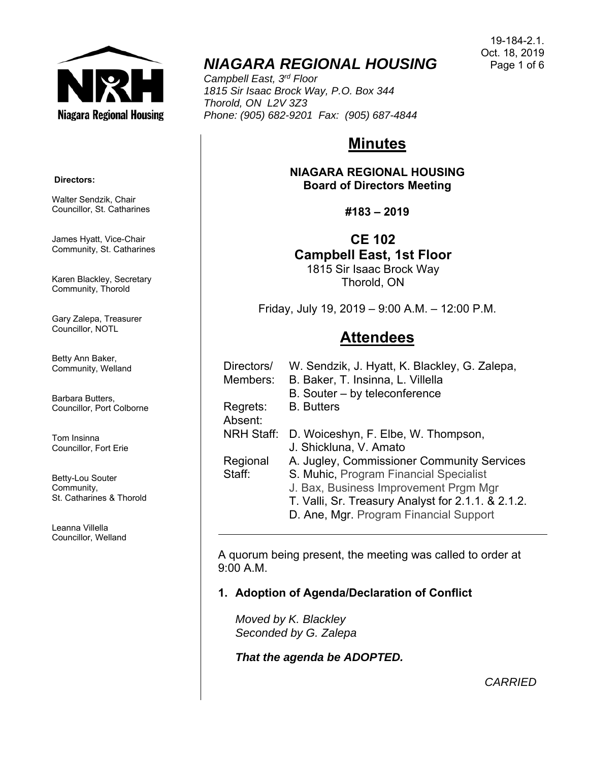

# *NIAGARA REGIONAL HOUSING*

*Campbell East, 3rd Floor 1815 Sir Isaac Brock Way, P.O. Box 344 Thorold, ON L2V 3Z3 Phone: (905) 682-9201 Fax: (905) 687-4844* 

# **Minutes**

**NIAGARA REGIONAL HOUSING Board of Directors Meeting** 

**#183 – 2019** 

**CE 102 Campbell East, 1st Floor** 

1815 Sir Isaac Brock Way Thorold, ON

Friday, July 19, 2019 – 9:00 A.M. – 12:00 P.M.

# **Attendees**

| Directors/<br>Members: | W. Sendzik, J. Hyatt, K. Blackley, G. Zalepa,<br>B. Baker, T. Insinna, L. Villella |
|------------------------|------------------------------------------------------------------------------------|
|                        | B. Souter – by teleconference                                                      |
| Regrets:<br>Absent:    | <b>B.</b> Butters                                                                  |
| <b>NRH Staff:</b>      | D. Woiceshyn, F. Elbe, W. Thompson,                                                |
|                        | J. Shickluna, V. Amato                                                             |
| Regional               | A. Jugley, Commissioner Community Services                                         |
| Staff:                 | S. Muhic, Program Financial Specialist                                             |
|                        | J. Bax, Business Improvement Prgm Mgr                                              |
|                        | T. Valli, Sr. Treasury Analyst for 2.1.1. & 2.1.2.                                 |
|                        | D. Ane, Mgr. Program Financial Support                                             |

A quorum being present, the meeting was called to order at 9:00 A.M.

**1. Adoption of Agenda/Declaration of Conflict** 

*Moved by K. Blackley Seconded by G. Zalepa* 

*That the agenda be ADOPTED.*

19-184-2.1. Oct. 18, 2019 Page 1 of 6

#### **Directors:**

Walter Sendzik, Chair Councillor, St. Catharines

James Hyatt, Vice-Chair Community, St. Catharines

Karen Blackley, Secretary Community, Thorold

Gary Zalepa, Treasurer Councillor, NOTL

Betty Ann Baker, Community, Welland

Barbara Butters, Councillor, Port Colborne

Tom Insinna Councillor, Fort Erie

Betty-Lou Souter Community, St. Catharines & Thorold

Leanna Villella Councillor, Welland

*CARRIED*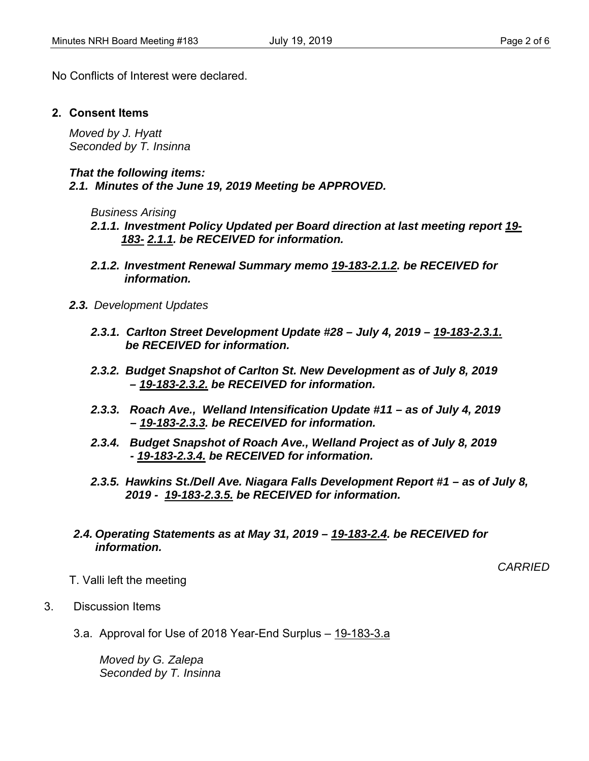No Conflicts of Interest were declared.

### **2. Consent Items**

*Moved by J. Hyatt Seconded by T. Insinna* 

*That the following items: 2.1. Minutes of the June 19, 2019 Meeting be APPROVED.* 

*Business Arising* 

- *2.1.1. Investment Policy Updated per Board direction at last meeting report 19- 183- 2.1.1. be RECEIVED for information.*
- *2.1.2. Investment Renewal Summary memo 19-183-2.1.2. be RECEIVED for information.*
- *2.3. Development Updates* 
	- *2.3.1. Carlton Street Development Update #28 July 4, 2019 19-183-2.3.1. be RECEIVED for information.*
	- *2.3.2. Budget Snapshot of Carlton St. New Development as of July 8, 2019 – 19-183-2.3.2. be RECEIVED for information.*
	- *2.3.3. Roach Ave., Welland Intensification Update #11 as of July 4, 2019 – 19-183-2.3.3. be RECEIVED for information.*
	- *2.3.4. Budget Snapshot of Roach Ave., Welland Project as of July 8, 2019 - 19-183-2.3.4. be RECEIVED for information.*
	- *2.3.5. Hawkins St./Dell Ave. Niagara Falls Development Report #1 as of July 8, 2019 - 19-183-2.3.5. be RECEIVED for information.*
- *2.4. Operating Statements as at May 31, 2019 19-183-2.4. be RECEIVED for information.*

*CARRIED* 

- T. Valli left the meeting
- 3. Discussion Items
	- 3.a. Approval for Use of 2018 Year-End Surplus 19-183-3.a

*Moved by G. Zalepa Seconded by T. Insinna*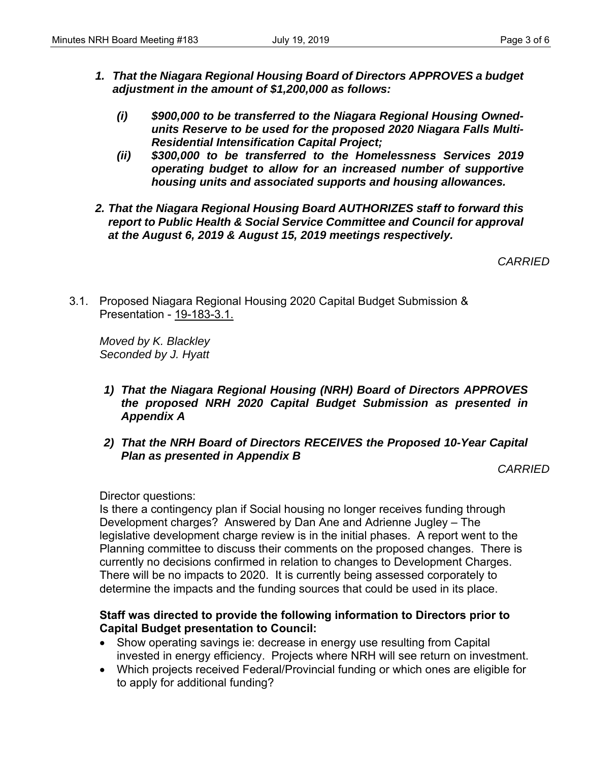- *1. That the Niagara Regional Housing Board of Directors APPROVES a budget adjustment in the amount of \$1,200,000 as follows:* 
	- *(i) \$900,000 to be transferred to the Niagara Regional Housing Ownedunits Reserve to be used for the proposed 2020 Niagara Falls Multi-Residential Intensification Capital Project;*
	- *(ii) \$300,000 to be transferred to the Homelessness Services 2019 operating budget to allow for an increased number of supportive housing units and associated supports and housing allowances.*
- *2. That the Niagara Regional Housing Board AUTHORIZES staff to forward this report to Public Health & Social Service Committee and Council for approval at the August 6, 2019 & August 15, 2019 meetings respectively.*

*CARRIED* 

3.1. Proposed Niagara Regional Housing 2020 Capital Budget Submission & Presentation - 19-183-3.1.

*Moved by K. Blackley Seconded by J. Hyatt* 

- *1) That the Niagara Regional Housing (NRH) Board of Directors APPROVES the proposed NRH 2020 Capital Budget Submission as presented in Appendix A*
- *2) That the NRH Board of Directors RECEIVES the Proposed 10-Year Capital Plan as presented in Appendix B*

*CARRIED* 

Director questions:

Is there a contingency plan if Social housing no longer receives funding through Development charges? Answered by Dan Ane and Adrienne Jugley – The legislative development charge review is in the initial phases. A report went to the Planning committee to discuss their comments on the proposed changes. There is currently no decisions confirmed in relation to changes to Development Charges. There will be no impacts to 2020. It is currently being assessed corporately to determine the impacts and the funding sources that could be used in its place.

## **Staff was directed to provide the following information to Directors prior to Capital Budget presentation to Council:**

- Show operating savings ie: decrease in energy use resulting from Capital invested in energy efficiency. Projects where NRH will see return on investment.
- Which projects received Federal/Provincial funding or which ones are eligible for to apply for additional funding?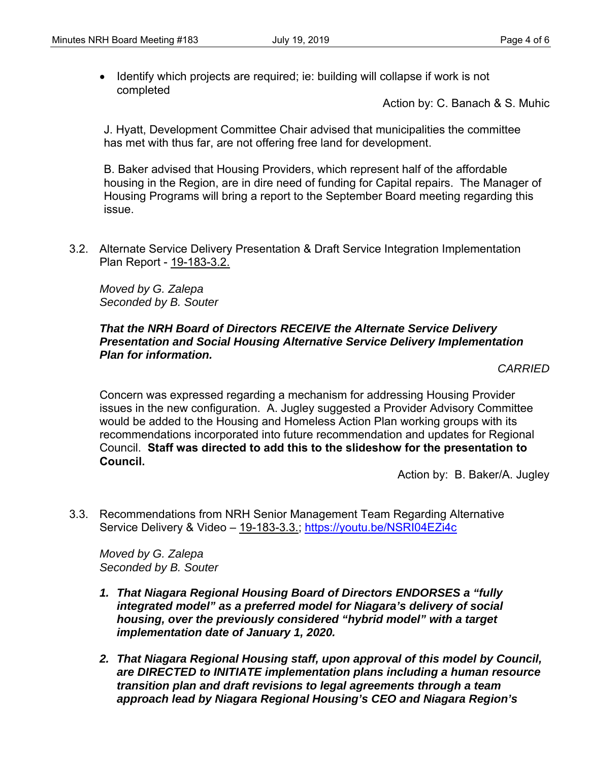• Identify which projects are required; ie: building will collapse if work is not completed

Action by: C. Banach & S. Muhic

J. Hyatt, Development Committee Chair advised that municipalities the committee has met with thus far, are not offering free land for development.

B. Baker advised that Housing Providers, which represent half of the affordable housing in the Region, are in dire need of funding for Capital repairs. The Manager of Housing Programs will bring a report to the September Board meeting regarding this issue.

3.2. Alternate Service Delivery Presentation & Draft Service Integration Implementation Plan Report - 19-183-3.2.

*Moved by G. Zalepa Seconded by B. Souter* 

### *That the NRH Board of Directors RECEIVE the Alternate Service Delivery Presentation and Social Housing Alternative Service Delivery Implementation Plan for information.*

*CARRIED* 

Concern was expressed regarding a mechanism for addressing Housing Provider issues in the new configuration. A. Jugley suggested a Provider Advisory Committee would be added to the Housing and Homeless Action Plan working groups with its recommendations incorporated into future recommendation and updates for Regional Council. **Staff was directed to add this to the slideshow for the presentation to Council.**

Action by: B. Baker/A. Jugley

3.3. Recommendations from NRH Senior Management Team Regarding Alternative Service Delivery & Video - 19-183-3.3.; https://youtu.be/NSRI04EZi4c

*Moved by G. Zalepa Seconded by B. Souter* 

- *1. That Niagara Regional Housing Board of Directors ENDORSES a "fully integrated model" as a preferred model for Niagara's delivery of social housing, over the previously considered "hybrid model" with a target implementation date of January 1, 2020.*
- *2. That Niagara Regional Housing staff, upon approval of this model by Council, are DIRECTED to INITIATE implementation plans including a human resource transition plan and draft revisions to legal agreements through a team approach lead by Niagara Regional Housing's CEO and Niagara Region's*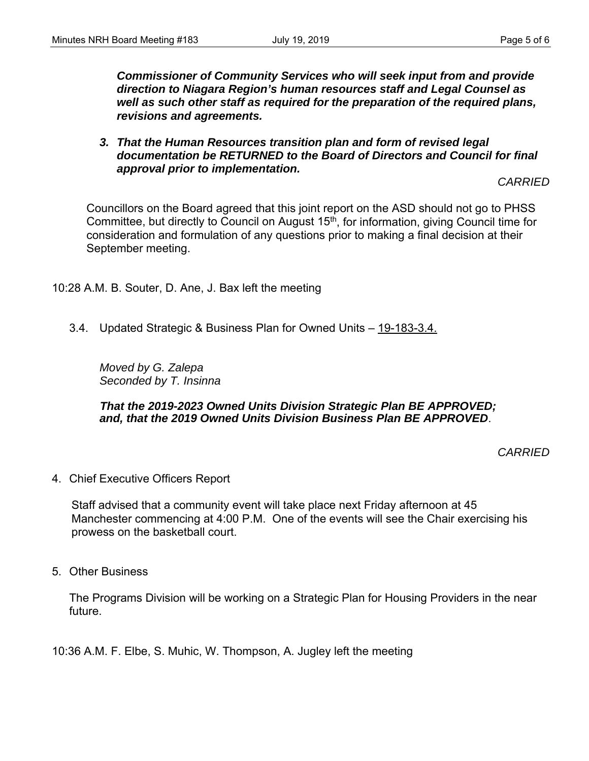*Commissioner of Community Services who will seek input from and provide direction to Niagara Region's human resources staff and Legal Counsel as well as such other staff as required for the preparation of the required plans, revisions and agreements.* 

*3. That the Human Resources transition plan and form of revised legal documentation be RETURNED to the Board of Directors and Council for final approval prior to implementation.* 

*CARRIED* 

Councillors on the Board agreed that this joint report on the ASD should not go to PHSS Committee, but directly to Council on August 15<sup>th</sup>, for information, giving Council time for consideration and formulation of any questions prior to making a final decision at their September meeting.

10:28 A.M. B. Souter, D. Ane, J. Bax left the meeting

3.4. Updated Strategic & Business Plan for Owned Units – 19-183-3.4.

*Moved by G. Zalepa Seconded by T. Insinna* 

### *That the 2019-2023 Owned Units Division Strategic Plan BE APPROVED; and, that the 2019 Owned Units Division Business Plan BE APPROVED*.

*CARRIED* 

4. Chief Executive Officers Report

Staff advised that a community event will take place next Friday afternoon at 45 Manchester commencing at 4:00 P.M. One of the events will see the Chair exercising his prowess on the basketball court.

5. Other Business

The Programs Division will be working on a Strategic Plan for Housing Providers in the near future.

10:36 A.M. F. Elbe, S. Muhic, W. Thompson, A. Jugley left the meeting